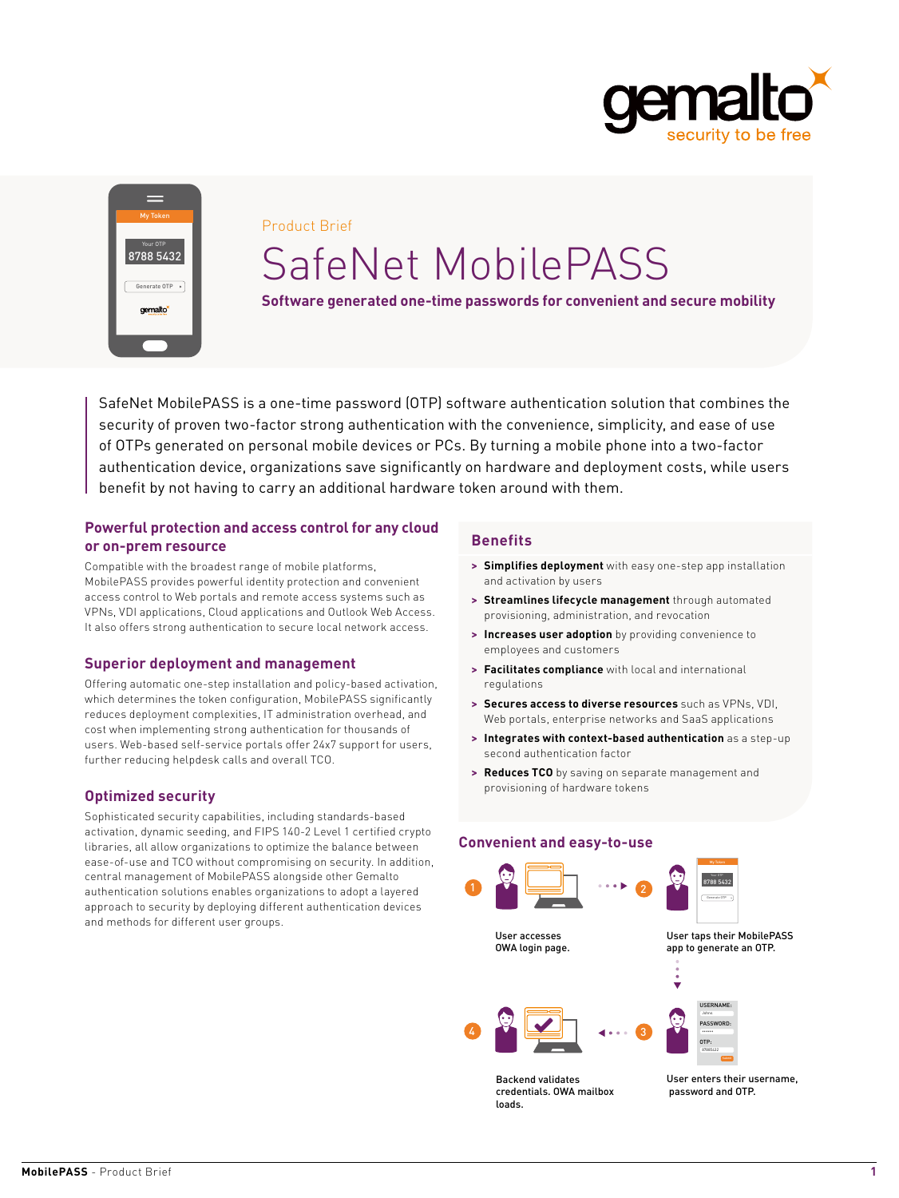



#### Product Brief

# SafeNet MobilePASS

**Software generated one-time passwords for convenient and secure mobility**

SafeNet MobilePASS is a one-time password (OTP) software authentication solution that combines the security of proven two-factor strong authentication with the convenience, simplicity, and ease of use of OTPs generated on personal mobile devices or PCs. By turning a mobile phone into a two-factor authentication device, organizations save significantly on hardware and deployment costs, while users benefit by not having to carry an additional hardware token around with them.

## **Powerful protection and access control for any cloud or on-prem resource**

Compatible with the broadest range of mobile platforms, MobilePASS provides powerful identity protection and convenient access control to Web portals and remote access systems such as VPNs, VDI applications, Cloud applications and Outlook Web Access. It also offers strong authentication to secure local network access.

## **Superior deployment and management**

Offering automatic one-step installation and policy-based activation, which determines the token configuration, MobilePASS significantly reduces deployment complexities, IT administration overhead, and cost when implementing strong authentication for thousands of users. Web-based self-service portals offer 24x7 support for users, further reducing helpdesk calls and overall TCO.

# **Optimized security**

Sophisticated security capabilities, including standards-based activation, dynamic seeding, and FIPS 140-2 Level 1 certified crypto libraries, all allow organizations to optimize the balance between ease-of-use and TCO without compromising on security. In addition, central management of MobilePASS alongside other Gemalto authentication solutions enables organizations to adopt a layered approach to security by deploying different authentication devices and methods for different user groups.

# **Benefits**

- **> Simplifies deployment** with easy one-step app installation and activation by users
- **> Streamlines lifecycle management** through automated provisioning, administration, and revocation
- **> Increases user adoption** by providing convenience to employees and customers
- **> Facilitates compliance** with local and international regulations
- **> Secures access to diverse resources** such as VPNs, VDI, Web portals, enterprise networks and SaaS applications
- **> Integrates with context-based authentication** as a step-up second authentication factor
- **> Reduces TCO** by saving on separate management and provisioning of hardware tokens

## **Convenient and easy-to-use**



Backend validates credentials. OWA mailbox loads.



password and OTP.